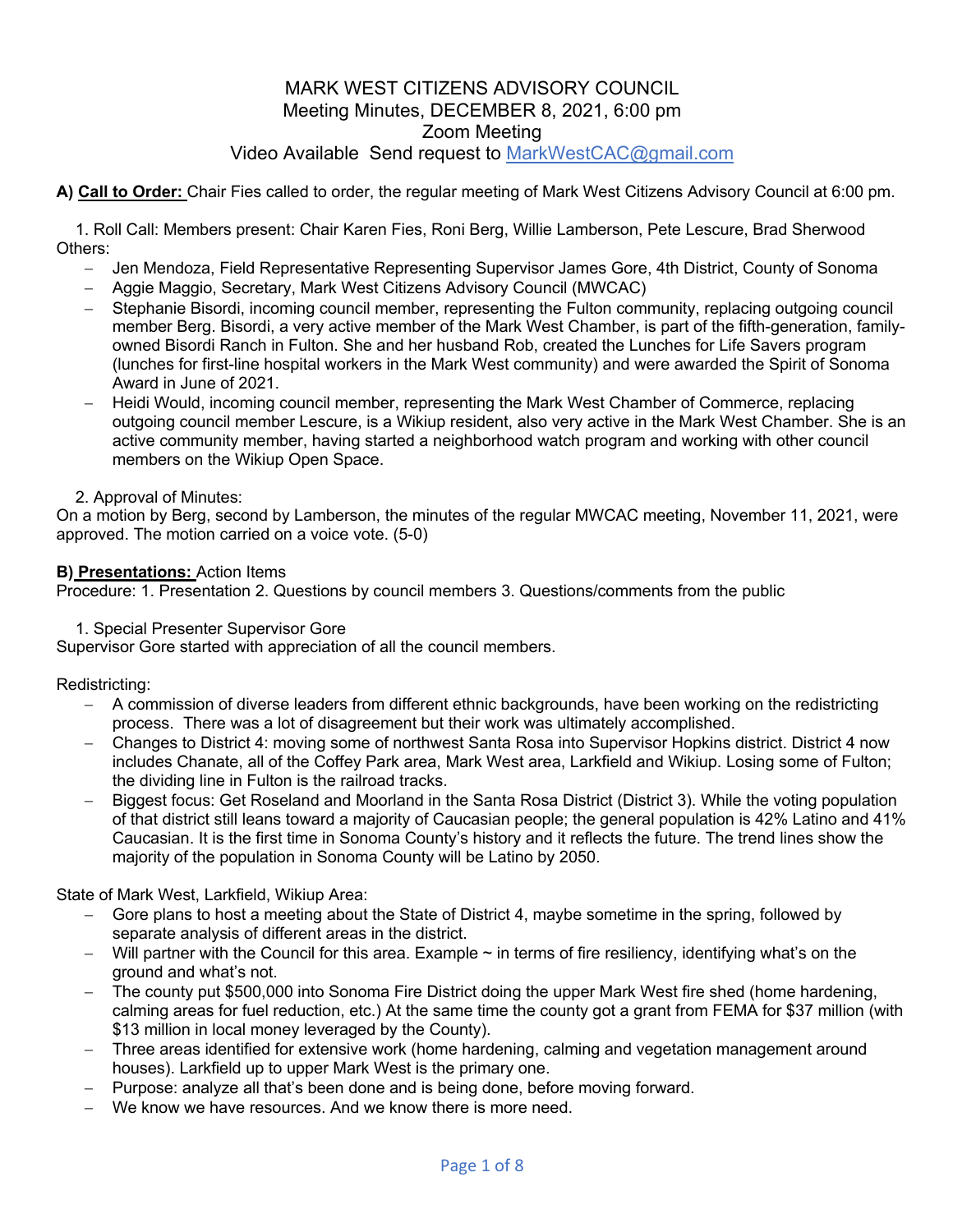# Video Available Send request to MarkWestCAC@gmail.com

### **A) Call to Order:** Chair Fies called to order, the regular meeting of Mark West Citizens Advisory Council at 6:00 pm.

1. Roll Call: Members present: Chair Karen Fies, Roni Berg, Willie Lamberson, Pete Lescure, Brad Sherwood Others:

- Jen Mendoza, Field Representative Representing Supervisor James Gore, 4th District, County of Sonoma
- Aggie Maggio, Secretary, Mark West Citizens Advisory Council (MWCAC)
- Stephanie Bisordi, incoming council member, representing the Fulton community, replacing outgoing council member Berg. Bisordi, a very active member of the Mark West Chamber, is part of the fifth-generation, familyowned Bisordi Ranch in Fulton. She and her husband Rob, created the Lunches for Life Savers program (lunches for first-line hospital workers in the Mark West community) and were awarded the Spirit of Sonoma Award in June of 2021.
- Heidi Would, incoming council member, representing the Mark West Chamber of Commerce, replacing outgoing council member Lescure, is a Wikiup resident, also very active in the Mark West Chamber. She is an active community member, having started a neighborhood watch program and working with other council members on the Wikiup Open Space.

### 2. Approval of Minutes:

On a motion by Berg, second by Lamberson, the minutes of the regular MWCAC meeting, November 11, 2021, were approved. The motion carried on a voice vote. (5-0)

#### **B) Presentations:** Action Items

Procedure: 1. Presentation 2. Questions by council members 3. Questions/comments from the public

1. Special Presenter Supervisor Gore

Supervisor Gore started with appreciation of all the council members.

Redistricting:

- A commission of diverse leaders from different ethnic backgrounds, have been working on the redistricting process. There was a lot of disagreement but their work was ultimately accomplished.
- Changes to District 4: moving some of northwest Santa Rosa into Supervisor Hopkins district. District 4 now includes Chanate, all of the Coffey Park area, Mark West area, Larkfield and Wikiup. Losing some of Fulton; the dividing line in Fulton is the railroad tracks.
- Biggest focus: Get Roseland and Moorland in the Santa Rosa District (District 3). While the voting population of that district still leans toward a majority of Caucasian people; the general population is 42% Latino and 41% Caucasian. It is the first time in Sonoma County's history and it reflects the future. The trend lines show the majority of the population in Sonoma County will be Latino by 2050.

State of Mark West, Larkfield, Wikiup Area:

- Gore plans to host a meeting about the State of District 4, maybe sometime in the spring, followed by separate analysis of different areas in the district.
- $-$  Will partner with the Council for this area. Example  $\sim$  in terms of fire resiliency, identifying what's on the ground and what's not.
- The county put \$500,000 into Sonoma Fire District doing the upper Mark West fire shed (home hardening, calming areas for fuel reduction, etc.) At the same time the county got a grant from FEMA for \$37 million (with \$13 million in local money leveraged by the County).
- Three areas identified for extensive work (home hardening, calming and vegetation management around houses). Larkfield up to upper Mark West is the primary one.
- Purpose: analyze all that's been done and is being done, before moving forward.
- We know we have resources. And we know there is more need.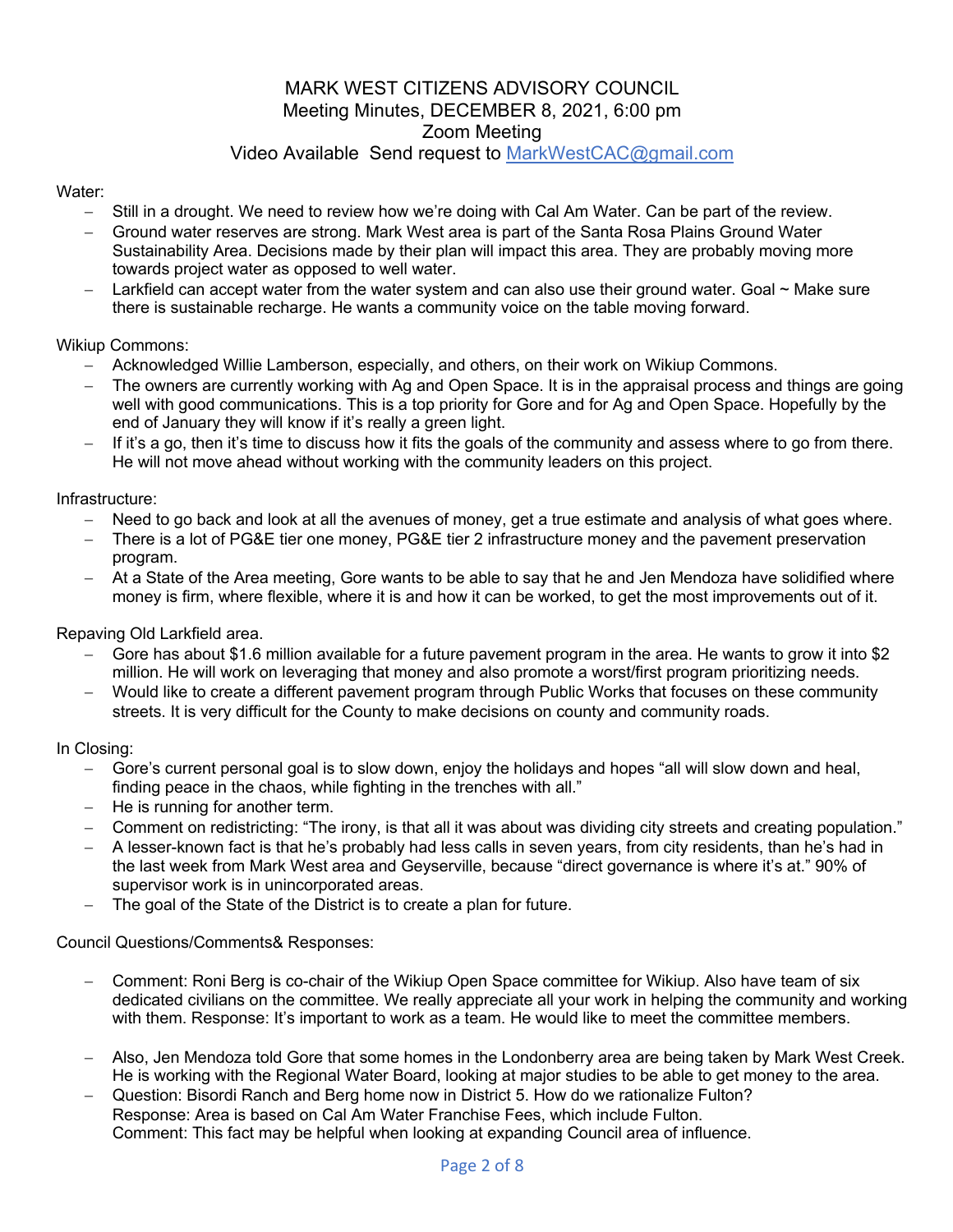# Video Available Send request to MarkWestCAC@gmail.com

Water:

- Still in a drought. We need to review how we're doing with Cal Am Water. Can be part of the review.
- Ground water reserves are strong. Mark West area is part of the Santa Rosa Plains Ground Water Sustainability Area. Decisions made by their plan will impact this area. They are probably moving more towards project water as opposed to well water.
- Larkfield can accept water from the water system and can also use their ground water. Goal  $\sim$  Make sure there is sustainable recharge. He wants a community voice on the table moving forward.

Wikiup Commons:

- Acknowledged Willie Lamberson, especially, and others, on their work on Wikiup Commons.
- The owners are currently working with Ag and Open Space. It is in the appraisal process and things are going well with good communications. This is a top priority for Gore and for Ag and Open Space. Hopefully by the end of January they will know if it's really a green light.
- If it's a go, then it's time to discuss how it fits the goals of the community and assess where to go from there. He will not move ahead without working with the community leaders on this project.

Infrastructure:

- Need to go back and look at all the avenues of money, get a true estimate and analysis of what goes where.
- There is a lot of PG&E tier one money, PG&E tier 2 infrastructure money and the pavement preservation program.
- At a State of the Area meeting, Gore wants to be able to say that he and Jen Mendoza have solidified where money is firm, where flexible, where it is and how it can be worked, to get the most improvements out of it.

Repaving Old Larkfield area.

- Gore has about \$1.6 million available for a future pavement program in the area. He wants to grow it into \$2 million. He will work on leveraging that money and also promote a worst/first program prioritizing needs.
- Would like to create a different pavement program through Public Works that focuses on these community streets. It is very difficult for the County to make decisions on county and community roads.

In Closing:

- Gore's current personal goal is to slow down, enjoy the holidays and hopes "all will slow down and heal, finding peace in the chaos, while fighting in the trenches with all."
- He is running for another term.
- Comment on redistricting: "The irony, is that all it was about was dividing city streets and creating population."
- A lesser-known fact is that he's probably had less calls in seven years, from city residents, than he's had in the last week from Mark West area and Geyserville, because "direct governance is where it's at." 90% of supervisor work is in unincorporated areas.
- The goal of the State of the District is to create a plan for future.

Council Questions/Comments& Responses:

- Comment: Roni Berg is co-chair of the Wikiup Open Space committee for Wikiup. Also have team of six dedicated civilians on the committee. We really appreciate all your work in helping the community and working with them. Response: It's important to work as a team. He would like to meet the committee members.
- Also, Jen Mendoza told Gore that some homes in the Londonberry area are being taken by Mark West Creek. He is working with the Regional Water Board, looking at major studies to be able to get money to the area.
- Question: Bisordi Ranch and Berg home now in District 5. How do we rationalize Fulton? Response: Area is based on Cal Am Water Franchise Fees, which include Fulton. Comment: This fact may be helpful when looking at expanding Council area of influence.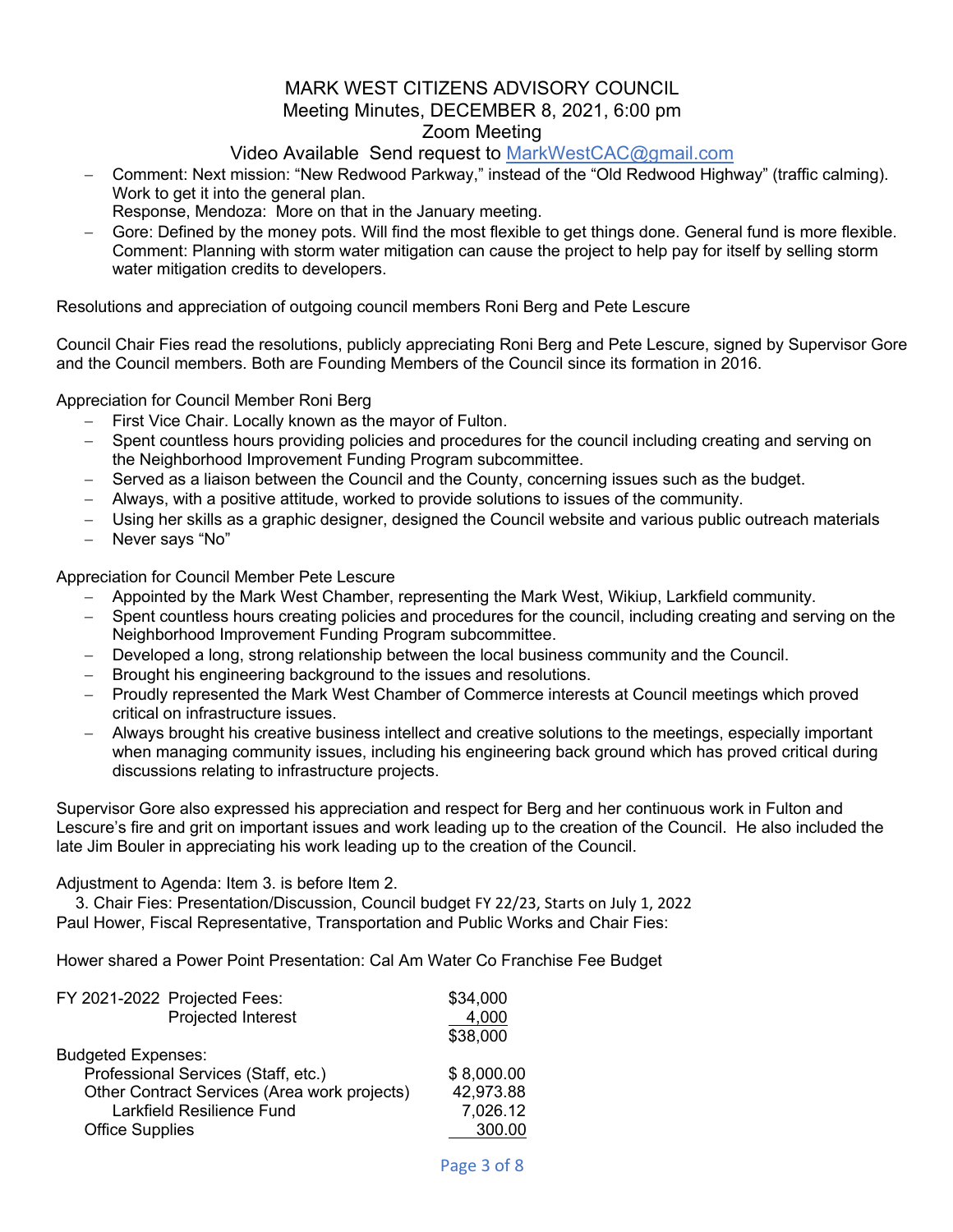# Video Available Send request to MarkWestCAC@gmail.com

- Comment: Next mission: "New Redwood Parkway," instead of the "Old Redwood Highway" (traffic calming). Work to get it into the general plan.
- Response, Mendoza: More on that in the January meeting.
- Gore: Defined by the money pots. Will find the most flexible to get things done. General fund is more flexible. Comment: Planning with storm water mitigation can cause the project to help pay for itself by selling storm water mitigation credits to developers.

Resolutions and appreciation of outgoing council members Roni Berg and Pete Lescure

Council Chair Fies read the resolutions, publicly appreciating Roni Berg and Pete Lescure, signed by Supervisor Gore and the Council members. Both are Founding Members of the Council since its formation in 2016.

Appreciation for Council Member Roni Berg

- First Vice Chair. Locally known as the mayor of Fulton.
- Spent countless hours providing policies and procedures for the council including creating and serving on the Neighborhood Improvement Funding Program subcommittee.
- Served as a liaison between the Council and the County, concerning issues such as the budget.
- Always, with a positive attitude, worked to provide solutions to issues of the community.
- Using her skills as a graphic designer, designed the Council website and various public outreach materials
- Never says "No"

Appreciation for Council Member Pete Lescure

- Appointed by the Mark West Chamber, representing the Mark West, Wikiup, Larkfield community.
- Spent countless hours creating policies and procedures for the council, including creating and serving on the Neighborhood Improvement Funding Program subcommittee.
- Developed a long, strong relationship between the local business community and the Council.
- Brought his engineering background to the issues and resolutions.
- Proudly represented the Mark West Chamber of Commerce interests at Council meetings which proved critical on infrastructure issues.
- Always brought his creative business intellect and creative solutions to the meetings, especially important when managing community issues, including his engineering back ground which has proved critical during discussions relating to infrastructure projects.

Supervisor Gore also expressed his appreciation and respect for Berg and her continuous work in Fulton and Lescure's fire and grit on important issues and work leading up to the creation of the Council. He also included the late Jim Bouler in appreciating his work leading up to the creation of the Council.

### Adjustment to Agenda: Item 3. is before Item 2.

3. Chair Fies: Presentation/Discussion, Council budget FY 22/23, Starts on July 1, 2022 Paul Hower, Fiscal Representative, Transportation and Public Works and Chair Fies:

Hower shared a Power Point Presentation: Cal Am Water Co Franchise Fee Budget

| FY 2021-2022 Projected Fees:                 | \$34,000   |
|----------------------------------------------|------------|
| Projected Interest                           | 4,000      |
|                                              | \$38,000   |
| <b>Budgeted Expenses:</b>                    |            |
| Professional Services (Staff, etc.)          | \$8,000.00 |
| Other Contract Services (Area work projects) | 42,973.88  |
| Larkfield Resilience Fund                    | 7,026.12   |
| <b>Office Supplies</b>                       | 300.00     |
|                                              |            |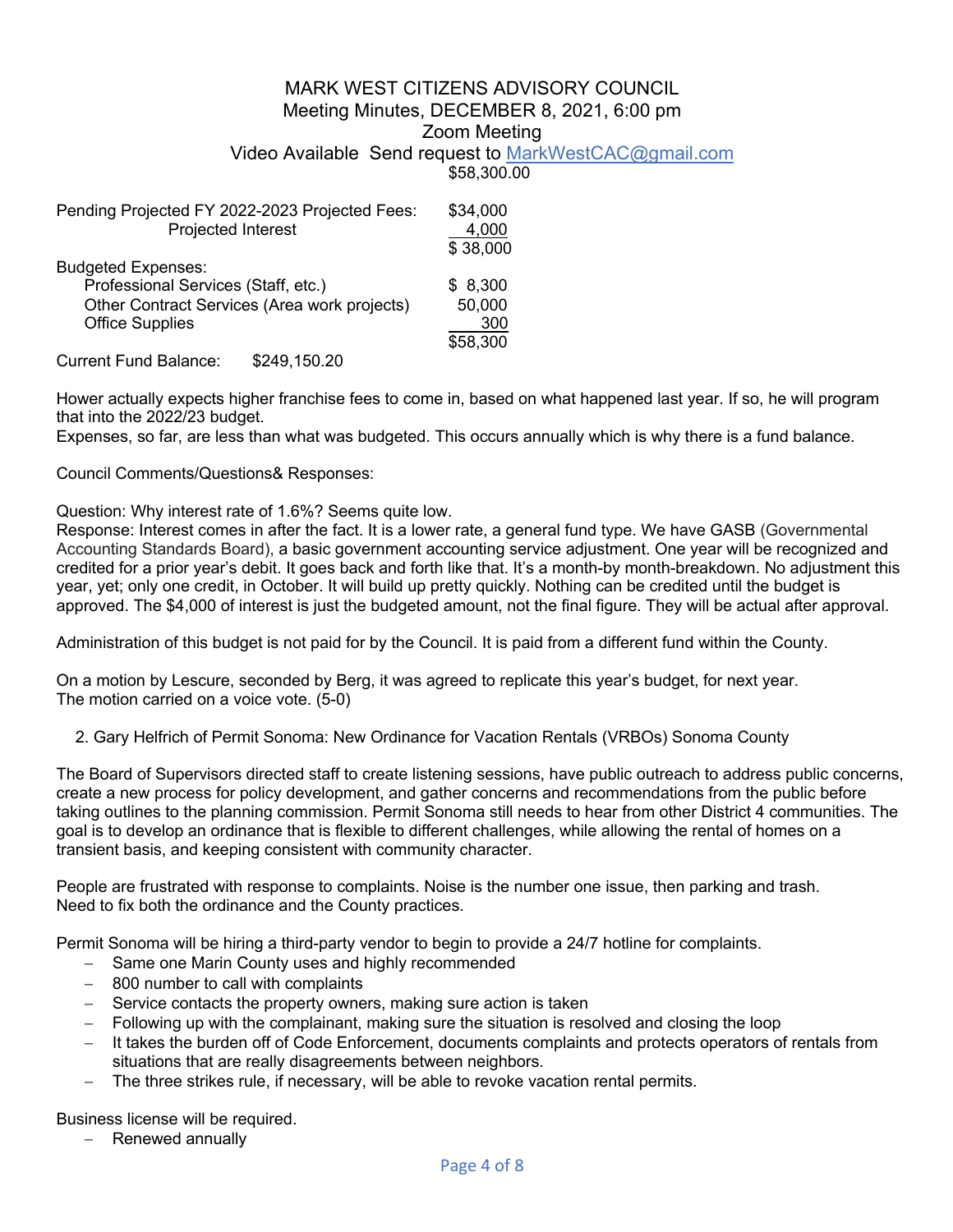# Video Available Send request to MarkWestCAC@gmail.com

\$58,300.00

| Pending Projected FY 2022-2023 Projected Fees: |              | \$34,000 |
|------------------------------------------------|--------------|----------|
| Projected Interest                             |              | 4,000    |
|                                                |              | \$38,000 |
| <b>Budgeted Expenses:</b>                      |              |          |
| Professional Services (Staff, etc.)            |              | \$8,300  |
| Other Contract Services (Area work projects)   |              | 50,000   |
| <b>Office Supplies</b>                         |              | 300      |
|                                                |              | \$58,300 |
| <b>Current Fund Balance:</b>                   | \$249.150.20 |          |

Hower actually expects higher franchise fees to come in, based on what happened last year. If so, he will program that into the 2022/23 budget.

Expenses, so far, are less than what was budgeted. This occurs annually which is why there is a fund balance.

Council Comments/Questions& Responses:

Question: Why interest rate of 1.6%? Seems quite low.

Response: Interest comes in after the fact. It is a lower rate, a general fund type. We have GASB (Governmental Accounting Standards Board), a basic government accounting service adjustment. One year will be recognized and credited for a prior year's debit. It goes back and forth like that. It's a month-by month-breakdown. No adjustment this year, yet; only one credit, in October. It will build up pretty quickly. Nothing can be credited until the budget is approved. The \$4,000 of interest is just the budgeted amount, not the final figure. They will be actual after approval.

Administration of this budget is not paid for by the Council. It is paid from a different fund within the County.

On a motion by Lescure, seconded by Berg, it was agreed to replicate this year's budget, for next year. The motion carried on a voice vote. (5-0)

2. Gary Helfrich of Permit Sonoma: New Ordinance for Vacation Rentals (VRBOs) Sonoma County

The Board of Supervisors directed staff to create listening sessions, have public outreach to address public concerns, create a new process for policy development, and gather concerns and recommendations from the public before taking outlines to the planning commission. Permit Sonoma still needs to hear from other District 4 communities. The goal is to develop an ordinance that is flexible to different challenges, while allowing the rental of homes on a transient basis, and keeping consistent with community character.

People are frustrated with response to complaints. Noise is the number one issue, then parking and trash. Need to fix both the ordinance and the County practices.

Permit Sonoma will be hiring a third-party vendor to begin to provide a 24/7 hotline for complaints.

- Same one Marin County uses and highly recommended
- 800 number to call with complaints
- Service contacts the property owners, making sure action is taken
- Following up with the complainant, making sure the situation is resolved and closing the loop
- It takes the burden off of Code Enforcement, documents complaints and protects operators of rentals from situations that are really disagreements between neighbors.
- The three strikes rule, if necessary, will be able to revoke vacation rental permits.

Business license will be required.

- Renewed annually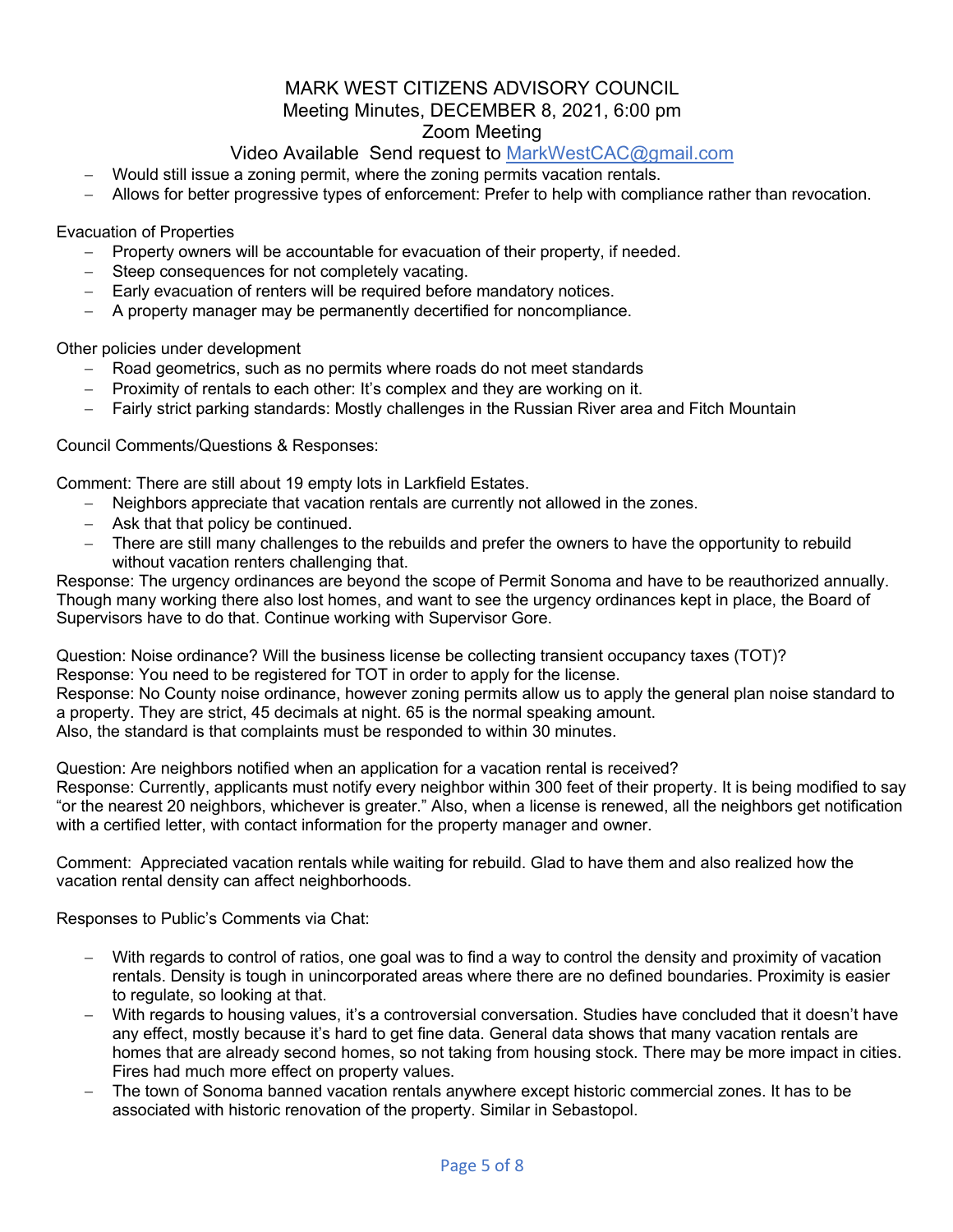# Video Available Send request to MarkWestCAC@gmail.com

- Would still issue a zoning permit, where the zoning permits vacation rentals.
- Allows for better progressive types of enforcement: Prefer to help with compliance rather than revocation.

Evacuation of Properties

- Property owners will be accountable for evacuation of their property, if needed.
- Steep consequences for not completely vacating.
- Early evacuation of renters will be required before mandatory notices.
- A property manager may be permanently decertified for noncompliance.

Other policies under development

- Road geometrics, such as no permits where roads do not meet standards
- Proximity of rentals to each other: It's complex and they are working on it.
- Fairly strict parking standards: Mostly challenges in the Russian River area and Fitch Mountain

Council Comments/Questions & Responses:

Comment: There are still about 19 empty lots in Larkfield Estates.

- Neighbors appreciate that vacation rentals are currently not allowed in the zones.
- Ask that that policy be continued.
- There are still many challenges to the rebuilds and prefer the owners to have the opportunity to rebuild without vacation renters challenging that.

Response: The urgency ordinances are beyond the scope of Permit Sonoma and have to be reauthorized annually. Though many working there also lost homes, and want to see the urgency ordinances kept in place, the Board of Supervisors have to do that. Continue working with Supervisor Gore.

Question: Noise ordinance? Will the business license be collecting transient occupancy taxes (TOT)? Response: You need to be registered for TOT in order to apply for the license. Response: No County noise ordinance, however zoning permits allow us to apply the general plan noise standard to a property. They are strict, 45 decimals at night. 65 is the normal speaking amount. Also, the standard is that complaints must be responded to within 30 minutes.

Question: Are neighbors notified when an application for a vacation rental is received? Response: Currently, applicants must notify every neighbor within 300 feet of their property. It is being modified to say "or the nearest 20 neighbors, whichever is greater." Also, when a license is renewed, all the neighbors get notification with a certified letter, with contact information for the property manager and owner.

Comment: Appreciated vacation rentals while waiting for rebuild. Glad to have them and also realized how the vacation rental density can affect neighborhoods.

Responses to Public's Comments via Chat:

- With regards to control of ratios, one goal was to find a way to control the density and proximity of vacation rentals. Density is tough in unincorporated areas where there are no defined boundaries. Proximity is easier to regulate, so looking at that.
- With regards to housing values, it's a controversial conversation. Studies have concluded that it doesn't have any effect, mostly because it's hard to get fine data. General data shows that many vacation rentals are homes that are already second homes, so not taking from housing stock. There may be more impact in cities. Fires had much more effect on property values.
- The town of Sonoma banned vacation rentals anywhere except historic commercial zones. It has to be associated with historic renovation of the property. Similar in Sebastopol.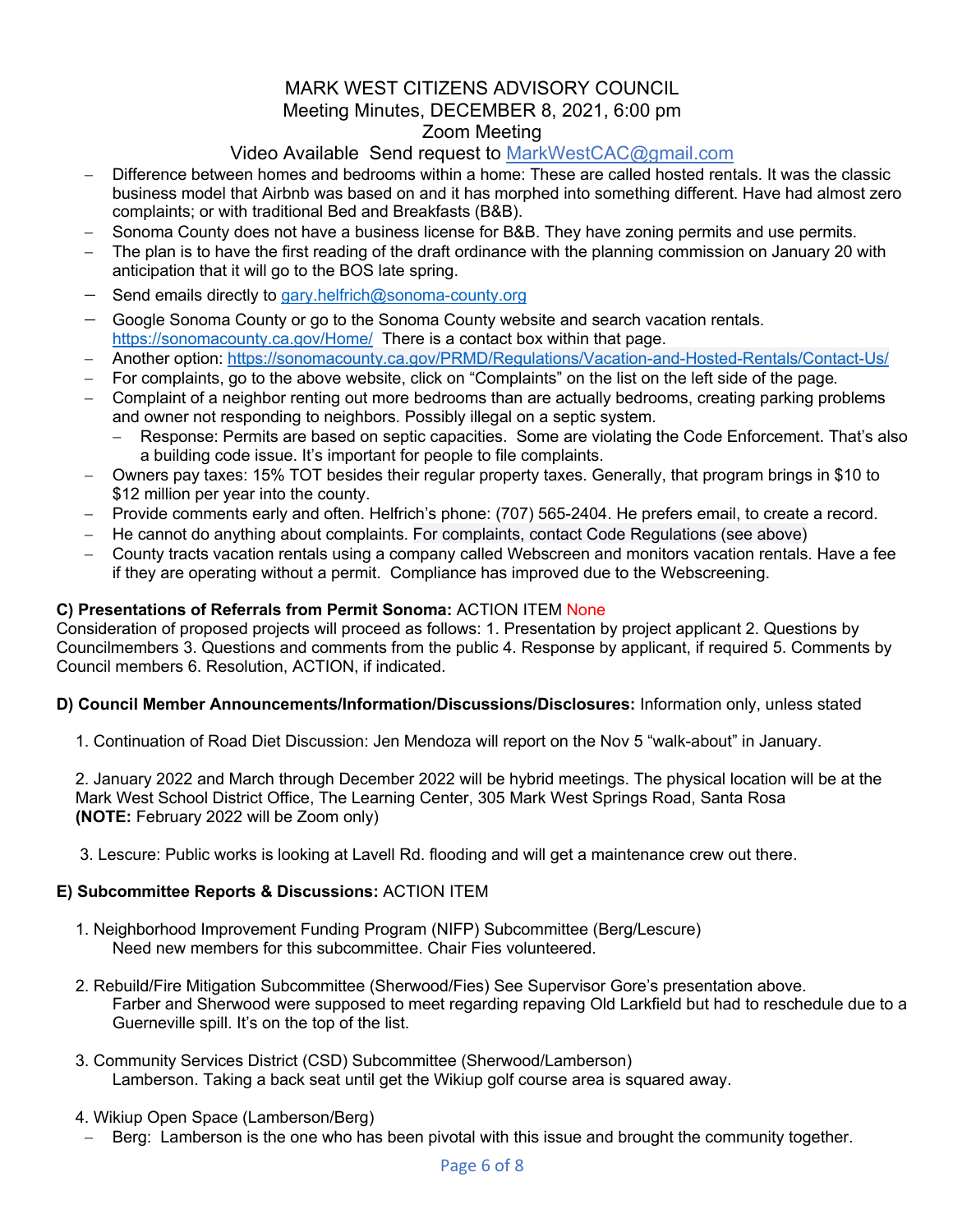# Video Available Send request to MarkWestCAC@gmail.com

- Difference between homes and bedrooms within a home: These are called hosted rentals. It was the classic business model that Airbnb was based on and it has morphed into something different. Have had almost zero complaints; or with traditional Bed and Breakfasts (B&B).
- Sonoma County does not have a business license for B&B. They have zoning permits and use permits.
- The plan is to have the first reading of the draft ordinance with the planning commission on January 20 with anticipation that it will go to the BOS late spring.
- Send emails directly to gary.helfrich@sonoma-county.org
- Google Sonoma County or go to the Sonoma County website and search vacation rentals. https://sonomacounty.ca.gov/Home/ There is a contact box within that page.
- Another option: https://sonomacounty.ca.gov/PRMD/Regulations/Vacation-and-Hosted-Rentals/Contact-Us/
- For complaints, go to the above website, click on "Complaints" on the list on the left side of the page.
- Complaint of a neighbor renting out more bedrooms than are actually bedrooms, creating parking problems and owner not responding to neighbors. Possibly illegal on a septic system.
	- Response: Permits are based on septic capacities. Some are violating the Code Enforcement. That's also a building code issue. It's important for people to file complaints.
- Owners pay taxes: 15% TOT besides their regular property taxes. Generally, that program brings in \$10 to \$12 million per year into the county.
- Provide comments early and often. Helfrich's phone: (707) 565-2404. He prefers email, to create a record.
- He cannot do anything about complaints. For complaints, contact Code Regulations (see above)
- County tracts vacation rentals using a company called Webscreen and monitors vacation rentals. Have a fee if they are operating without a permit. Compliance has improved due to the Webscreening.

### **C) Presentations of Referrals from Permit Sonoma:** ACTION ITEM None

Consideration of proposed projects will proceed as follows: 1. Presentation by project applicant 2. Questions by Councilmembers 3. Questions and comments from the public 4. Response by applicant, if required 5. Comments by Council members 6. Resolution, ACTION, if indicated.

### **D) Council Member Announcements/Information/Discussions/Disclosures:** Information only, unless stated

1. Continuation of Road Diet Discussion: Jen Mendoza will report on the Nov 5 "walk-about" in January.

2. January 2022 and March through December 2022 will be hybrid meetings. The physical location will be at the Mark West School District Office, The Learning Center, 305 Mark West Springs Road, Santa Rosa **(NOTE:** February 2022 will be Zoom only)

3. Lescure: Public works is looking at Lavell Rd. flooding and will get a maintenance crew out there.

### **E) Subcommittee Reports & Discussions:** ACTION ITEM

- 1. Neighborhood Improvement Funding Program (NIFP) Subcommittee (Berg/Lescure) Need new members for this subcommittee. Chair Fies volunteered.
- 2. Rebuild/Fire Mitigation Subcommittee (Sherwood/Fies) See Supervisor Gore's presentation above. Farber and Sherwood were supposed to meet regarding repaving Old Larkfield but had to reschedule due to a Guerneville spill. It's on the top of the list.
- 3. Community Services District (CSD) Subcommittee (Sherwood/Lamberson) Lamberson. Taking a back seat until get the Wikiup golf course area is squared away.
- 4. Wikiup Open Space (Lamberson/Berg)
- Berg: Lamberson is the one who has been pivotal with this issue and brought the community together.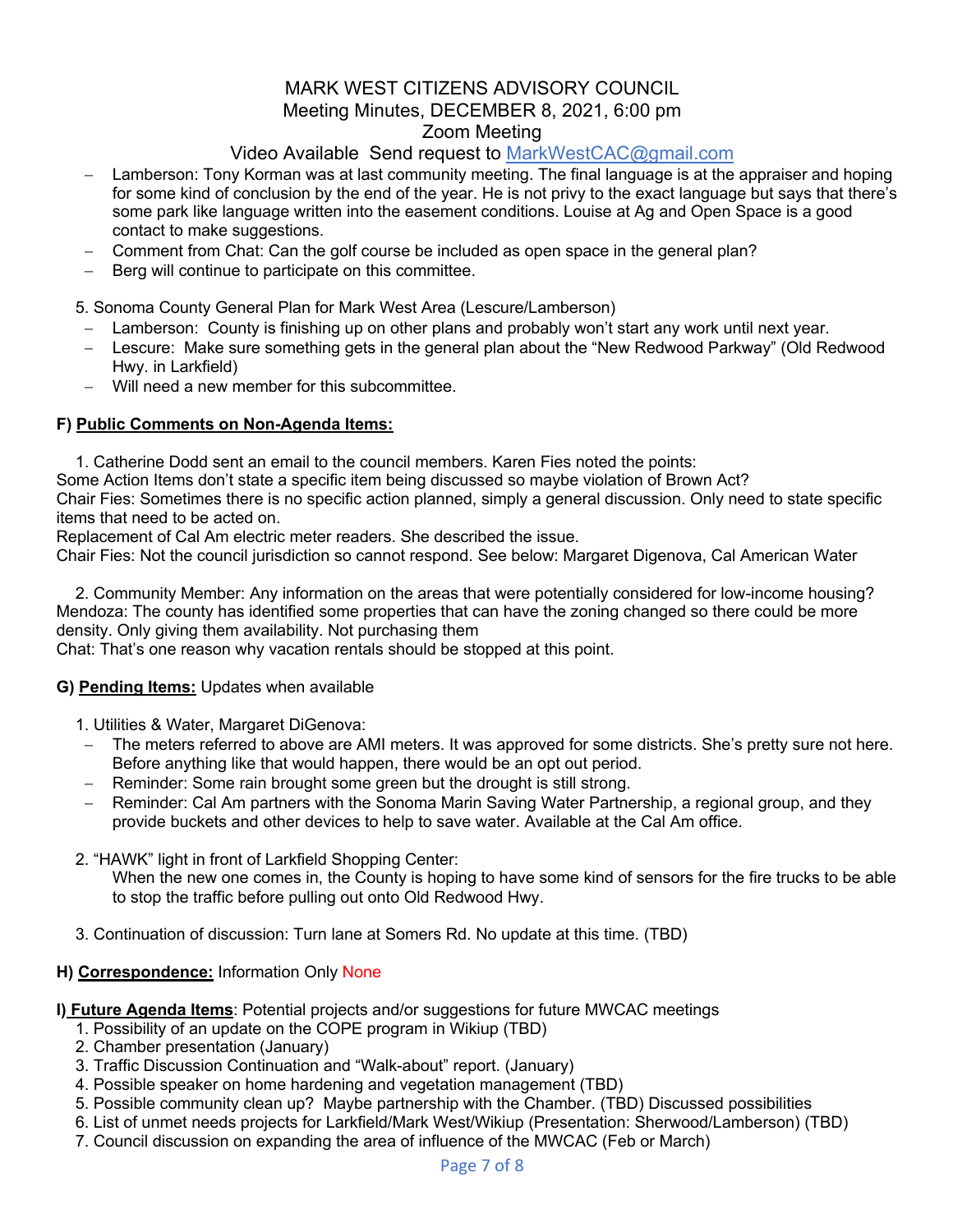# Video Available Send request to MarkWestCAC@gmail.com

- Lamberson: Tony Korman was at last community meeting. The final language is at the appraiser and hoping for some kind of conclusion by the end of the year. He is not privy to the exact language but says that there's some park like language written into the easement conditions. Louise at Ag and Open Space is a good contact to make suggestions.
- Comment from Chat: Can the golf course be included as open space in the general plan?
- Berg will continue to participate on this committee.

5. Sonoma County General Plan for Mark West Area (Lescure/Lamberson)

- Lamberson: County is finishing up on other plans and probably won't start any work until next year.
- Lescure: Make sure something gets in the general plan about the "New Redwood Parkway" (Old Redwood Hwy. in Larkfield)
- Will need a new member for this subcommittee.

### **F) Public Comments on Non-Agenda Items:**

1. Catherine Dodd sent an email to the council members. Karen Fies noted the points:

Some Action Items don't state a specific item being discussed so maybe violation of Brown Act?

Chair Fies: Sometimes there is no specific action planned, simply a general discussion. Only need to state specific items that need to be acted on.

Replacement of Cal Am electric meter readers. She described the issue.

Chair Fies: Not the council jurisdiction so cannot respond. See below: Margaret Digenova, Cal American Water

2. Community Member: Any information on the areas that were potentially considered for low-income housing? Mendoza: The county has identified some properties that can have the zoning changed so there could be more density. Only giving them availability. Not purchasing them

Chat: That's one reason why vacation rentals should be stopped at this point.

### **G) Pending Items:** Updates when available

- 1. Utilities & Water, Margaret DiGenova:
- The meters referred to above are AMI meters. It was approved for some districts. She's pretty sure not here. Before anything like that would happen, there would be an opt out period.
- Reminder: Some rain brought some green but the drought is still strong.
- Reminder: Cal Am partners with the Sonoma Marin Saving Water Partnership, a regional group, and they provide buckets and other devices to help to save water. Available at the Cal Am office.
- 2. "HAWK" light in front of Larkfield Shopping Center: When the new one comes in, the County is hoping to have some kind of sensors for the fire trucks to be able to stop the traffic before pulling out onto Old Redwood Hwy.
- 3. Continuation of discussion: Turn lane at Somers Rd. No update at this time. (TBD)

### **H) Correspondence:** Information Only None

## **I) Future Agenda Items**: Potential projects and/or suggestions for future MWCAC meetings

- 1. Possibility of an update on the COPE program in Wikiup (TBD)
- 2. Chamber presentation (January)
- 3. Traffic Discussion Continuation and "Walk-about" report. (January)
- 4. Possible speaker on home hardening and vegetation management (TBD)
- 5. Possible community clean up? Maybe partnership with the Chamber. (TBD) Discussed possibilities
- 6. List of unmet needs projects for Larkfield/Mark West/Wikiup (Presentation: Sherwood/Lamberson) (TBD)
- 7. Council discussion on expanding the area of influence of the MWCAC (Feb or March)